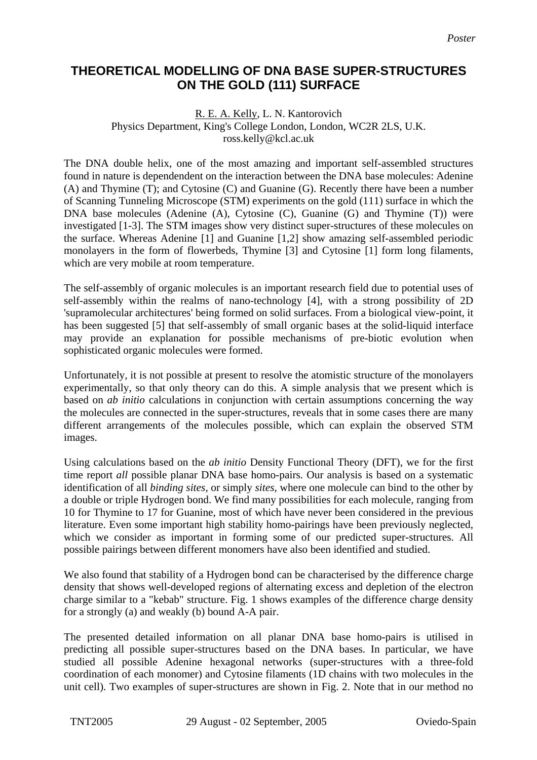## **THEORETICAL MODELLING OF DNA BASE SUPER-STRUCTURES ON THE GOLD (111) SURFACE**

## R. E. A. Kelly, L. N. Kantorovich Physics Department, King's College London, London, WC2R 2LS, U.K. ross.kelly@kcl.ac.uk

The DNA double helix, one of the most amazing and important self-assembled structures found in nature is dependendent on the interaction between the DNA base molecules: Adenine (A) and Thymine (T); and Cytosine (C) and Guanine (G). Recently there have been a number of Scanning Tunneling Microscope (STM) experiments on the gold (111) surface in which the DNA base molecules (Adenine (A), Cytosine (C), Guanine (G) and Thymine (T)) were investigated [1-3]. The STM images show very distinct super-structures of these molecules on the surface. Whereas Adenine [1] and Guanine [1,2] show amazing self-assembled periodic monolayers in the form of flowerbeds, Thymine [3] and Cytosine [1] form long filaments, which are very mobile at room temperature.

The self-assembly of organic molecules is an important research field due to potential uses of self-assembly within the realms of nano-technology [4], with a strong possibility of 2D 'supramolecular architectures' being formed on solid surfaces. From a biological view-point, it has been suggested [5] that self-assembly of small organic bases at the solid-liquid interface may provide an explanation for possible mechanisms of pre-biotic evolution when sophisticated organic molecules were formed.

Unfortunately, it is not possible at present to resolve the atomistic structure of the monolayers experimentally, so that only theory can do this. A simple analysis that we present which is based on *ab initio* calculations in conjunction with certain assumptions concerning the way the molecules are connected in the super-structures, reveals that in some cases there are many different arrangements of the molecules possible, which can explain the observed STM images.

Using calculations based on the *ab initio* Density Functional Theory (DFT), we for the first time report *all* possible planar DNA base homo-pairs. Our analysis is based on a systematic identification of all *binding sites*, or simply *sites*, where one molecule can bind to the other by a double or triple Hydrogen bond. We find many possibilities for each molecule, ranging from 10 for Thymine to 17 for Guanine, most of which have never been considered in the previous literature. Even some important high stability homo-pairings have been previously neglected, which we consider as important in forming some of our predicted super-structures. All possible pairings between different monomers have also been identified and studied.

We also found that stability of a Hydrogen bond can be characterised by the difference charge density that shows well-developed regions of alternating excess and depletion of the electron charge similar to a "kebab" structure. Fig. 1 shows examples of the difference charge density for a strongly (a) and weakly (b) bound A-A pair.

The presented detailed information on all planar DNA base homo-pairs is utilised in predicting all possible super-structures based on the DNA bases. In particular, we have studied all possible Adenine hexagonal networks (super-structures with a three-fold coordination of each monomer) and Cytosine filaments (1D chains with two molecules in the unit cell). Two examples of super-structures are shown in Fig. 2. Note that in our method no